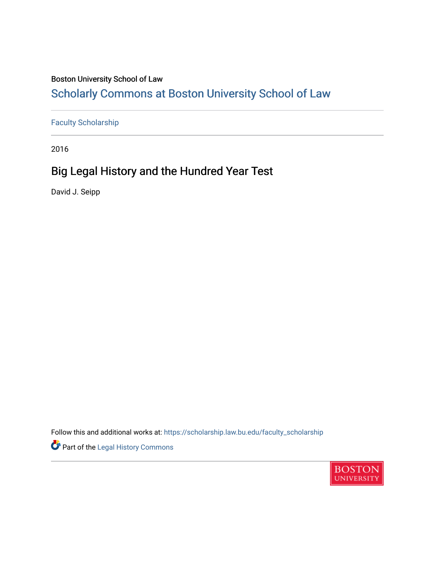### Boston University School of Law

# [Scholarly Commons at Boston University School of Law](https://scholarship.law.bu.edu/)

[Faculty Scholarship](https://scholarship.law.bu.edu/faculty_scholarship)

2016

# Big Legal History and the Hundred Year Test

David J. Seipp

Follow this and additional works at: [https://scholarship.law.bu.edu/faculty\\_scholarship](https://scholarship.law.bu.edu/faculty_scholarship?utm_source=scholarship.law.bu.edu%2Ffaculty_scholarship%2F1566&utm_medium=PDF&utm_campaign=PDFCoverPages)

Part of the [Legal History Commons](http://network.bepress.com/hgg/discipline/904?utm_source=scholarship.law.bu.edu%2Ffaculty_scholarship%2F1566&utm_medium=PDF&utm_campaign=PDFCoverPages)

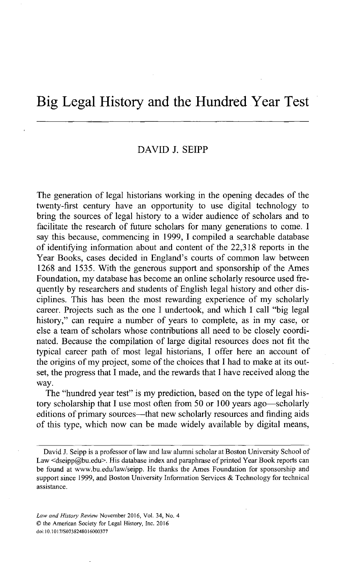### Big Legal History and the Hundred Year Test

#### **DAVID J. SEIPP**

The generation of legal historians working in the opening decades of the twenty-first century have an opportunity to use digital technology to bring the sources of legal history to a wider audience of scholars and to facilitate the research of future scholars for many generations to come. **I** say this because, commencing in **1999,** I compiled a searchable database of identifying information about and content of the **22,318** reports in the Year Books, cases decided in England's courts of common law between **1268** and *1535.* With the generous support and sponsorship of the Ames Foundation, my database has become an online scholarly resource used frequently **by** researchers and students of English legal history and other disciplines. This has been the most rewarding experience of my scholarly career. Projects such as the one **I** undertook, and which **I** call "big legal history," can require a number of years to complete, as in my case, or else a team of scholars whose contributions all need to be closely coordinated. Because the compilation of large digital resources does not fit the typical career path of most legal historians, **I** offer here an account of the origins of my project, some of the choices that **I** had to make at its outset, the progress that I made, and the rewards that **I** have received along the way.

The "hundred year test" is my prediction, based on the type of legal history scholarship that I use most often from **50** or **100** years ago-scholarly editions of primary sources—that new scholarly resources and finding aids of this type, which now can be made widely available **by** digital means,

David **J.** Seipp is a professor of law and law alumni scholar at Boston University School of Law <dseipp@bu.edu>. His database index and paraphrase of printed Year Book reports can be found at www.bu.edu/law/seipp. He thanks the Ames Foundation for sponsorship and support since **1999,** and Boston University Information Services **&** Technology for technical assistance.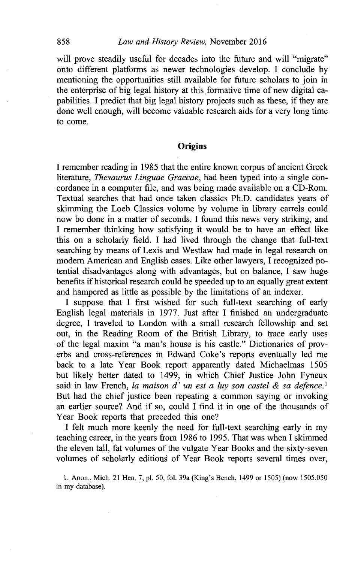#### *Law and History Review,* November **2016**

will prove steadily useful for decades into the future and will "migrate" onto different platforms as newer technologies develop. **I** conclude **by** mentioning the opportunities still available for future scholars to join in the enterprise of big legal history at this formative time of new digital capabilities. **I** predict that big legal history projects such as these, if they are done well enough, will become valuable research aids for a very long time to come.

#### **Origins**

**I** remember reading in *1985* that the entire known corpus of ancient Greek literature, *Thesaurus Linguae Graecae,* had been typed into a single concordance in a computer file, and was being made available on a CD-Rom. Textual searches that had once taken classics Ph.D. candidates years of skimming the Loeb Classics volume **by** volume in library carrels could now be done in a matter of seconds. **I** found this news very striking, and **I** remember thinking how satisfying it would be to have an effect like this on a scholarly field. **I** had lived through the change that full-text searching **by** means of Lexis and Westlaw had made in legal research on modem American and English cases. Like other lawyers, **I** recognized potential disadvantages along with advantages, but on balance, **I** saw huge benefits if historical research could be speeded up to an equally great extent and hampered as little as possible **by** the limitations of an indexer.

**I** suppose that **I** first wished for such full-text searching of early English legal materials in **1977.** Just after **I** finished an undergraduate degree, **I** traveled to London with a small research fellowship and set out, in the Reading Room of the British Library, to trace early uses of the legal maxim "a man's house is his castle." Dictionaries of proverbs and cross-references in Edward Coke's reports eventually led me back to a late Year Book report apparently dated Michaelmas **1505** but likely better dated to 1499, in which Chief Justice John Fyneux said in law French, *la maison d' un est a luy son castel & sa defence.'* But had the chief justice been repeating a common saying or invoking an earlier source? And if so, could **I** find it in one of the thousands of Year Book reports that preceded this one?

**I** felt much more keenly the need for full-text searching early in my teaching career, in the years from **1986** to **1995.** That was when **I** skimmed the eleven tall, fat volumes of the vulgate Year Books and the sixty-seven volumes of scholarly editions of Year Book reports several times over,

**1.** Anon., Mich. 21 Hen. **7, pl. 50,** fol. 39a (King's Bench, 1499 or **1505)** (now **1505.050** in my database).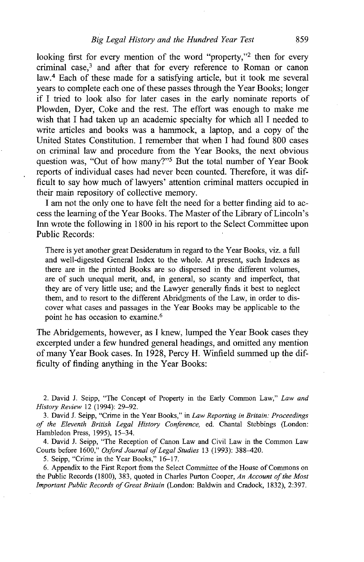looking first for every mention of the word "property," 2 then for every criminal case,<sup>3</sup> and after that for every reference to Roman or canon law.<sup>4</sup> Each of these made for a satisfying article, but it took me several years to complete each one of these passes through the Year Books; longer if **I** tried to look also for later cases in the early nominate reports of Plowden, Dyer, Coke and the rest. The effort was enough to make me wish that **I** had taken up an academic specialty for which all **I** needed to write articles and books was a hammock, a laptop, and a copy of the United States Constitution. I remember that when **I** had found **800** cases on criminal law and procedure from the Year Books, the next obvious question was, "Out of how many?"<sup>5</sup> But the total number of Year Book reports of individual cases had never been counted. Therefore, it was difficult to say how much of lawyers' attention criminal matters occupied in their main repository of collective memory.

I am not the only one to have felt the need for a better finding aid to access the learning of the Year Books. The Master of the Library of Lincoln's Inn wrote the following in **1800** in his report to the Select Committee upon Public Records:

There is yet another great Desideratum in regard to the Year Books, viz. a **full** and well-digested General Index to the whole. At present, such Indexes as there are in the printed Books are so dispersed in the different volumes, are of such unequal merit, and, in general, so scanty and imperfect, that they are of very little use; and the Lawyer generally finds it best to neglect them, and to resort to the different Abridgments of the Law, in order to discover what cases and passages in the Year Books may be applicable to the point he has occasion to examine.<sup>6</sup>

The Abridgements, however, as **I** knew, lumped the Year Book cases they excerpted under a few hundred general headings, and omitted any mention of many Year Book cases. In **1928,** Percy H. Winfield summed up the difficulty of finding anything in the Year Books:

4. David **J.** Seipp, "The Reception of Canon Law and Civil Law in the Common Law Courts before **1600,"** *Oxford Journal of Legal Studies* **13 (1993): 388-420.**

*5.* Seipp, "Crime in the Year Books," **16-17.**

**6.** Appendix to the First Report from the Select Committee of the House of Commons on the Public Records **(1800), 383,** quoted in Charles Purton Cooper, *An Account of the Most Important Public Records of Great Britain* (London: Baldwin and Cradock, **1832), 2:397.**

<sup>2.</sup> David **J.** Seipp, "The Concept of Property in the Early Common Law," *Law and History Review* 12 (1994): **29-92.**

**<sup>3.</sup>** David **J.** Seipp, "Crime in the Year Books," in *Law Reporting in Britain: Proceedings of the Eleventh British Legal History Conference,* ed. Chantal Stebbings (London: Hambledon Press, **1995),** 15-34.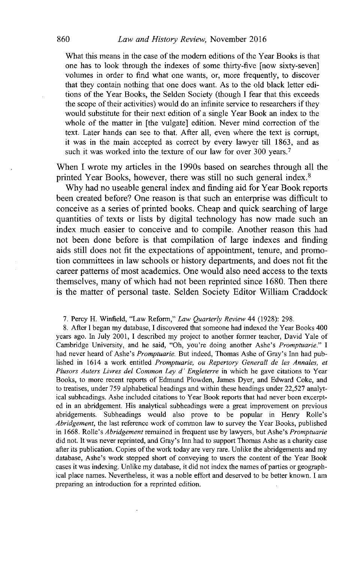What this means in the case of the modem editions of the Year Books is that one has to look through the indexes of some thirty-five [now sixty-seven] volumes in order to find what one wants, or, more frequently, to discover that they contain nothing that one does want. As to the old black letter editions of the Year Books, the Selden Society (though **I** fear that this exceeds the scope of their activities) would do an infinite service to researchers if they would substitute for their next edition of a single Year Book an index to the whole of the matter in [the vulgate] edition. Never mind correction of the text. Later hands can see to that. After all, even where the text is corrupt, it was in the main accepted as correct **by** every lawyer till **1863,** and as such it was worked into the texture of our law for over **300** years.<sup>7</sup>

When I wrote my articles in the 1990s based on searches through all the printed Year Books, however, there was still no such general index.<sup>8</sup>

**Why** had no useable general index and finding aid for Year Book reports been created before? One reason is that such an enterprise was difficult to conceive as a series of printed books. Cheap and quick searching of large quantities of texts or lists **by** digital technology has now made such an index much easier to conceive and to compile. Another reason this had not been done before is that compilation of large indexes and finding aids still does not fit the expectations of appointment, tenure, and promotion committees in law schools or history departments, and does not fit the career patterns of most academics. One would also need access to the texts themselves, many of which had not been reprinted since **1680.** Then there is the matter of personal taste. Selden Society Editor William Craddock

**7.** Percy H. Winfield, "Law Reform," *Law Quarterly Review 44* **(1928): 298.**

**8.** After **I** began my database, **I** discovered that someone had indexed the Year Books 400 years ago. In July 2001, I described my project to another former teacher, David Yale of Cambridge University, and he said, "Oh, you're doing another Ashe's *Promptuarie." I* had never heard of Ashe's *Promptuarie.* But indeed, Thomas Ashe of Gray's Inn had published in 1614 a work entitled *Promptuarie, ou Repertory Generall de les Annales, et Plusors Auters Livres del Common Ley d' Engleterre* in which he gave citations to Year Books, to more recent reports of Edmund Plowden, James Dyer, and Edward Coke, and to treatises, under **759** alphabetical headings and within these headings under **22,527** analytical subheadings. Ashe included citations to Year Book reports that had never been excerpted in an abridgement. His analytical subheadings were a great improvement on previous abridgements. Subheadings would also prove to be popular in Henry Rolle's *Abridgement,* the last reference work of common law to survey the Year Books, published in **1668.** Rolle's *Abridgement* remained in frequent use **by** lawyers, but Ashe's *Promptuarie* did not. It was never reprinted, and Gray's Inn had to support Thomas Ashe as a charity case after its publication. Copies of the work today are very rare. Unlike the abridgements and my database, Ashe's work stopped short of conveying to users the content of the Year Book cases it was indexing. Unlike my database, it did not index the names of parties or geographical place names. Nevertheless, it was a noble effort and deserved to be better known. **I** am preparing an introduction for a reprinted edition.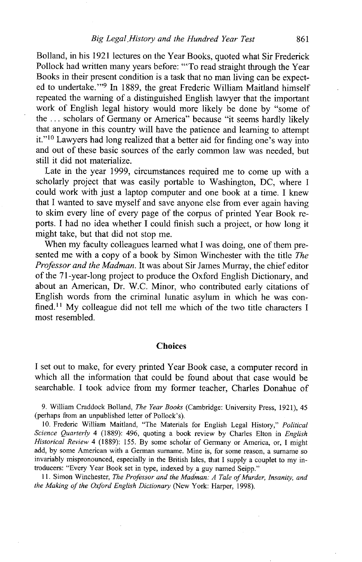Bolland, in his **1921** lectures on the Year Books, quoted what Sir Frederick Pollock had written many years before: "'To read straight through the Year Books in their present condition is a task that no man living can be expected to undertake."<sup>9</sup> In 1889, the great Frederic William Maitland himself repeated the warning of a distinguished English lawyer that the important work of English legal history would more likely be done **by** "some of the **...** scholars of Germany or America" because "it seems hardly likely that anyone in this country will have the patience and learning to attempt it."<sup>10</sup> Lawyers had long realized that a better aid for finding one's way into and out of these basic sources of the early common law was needed, but still it did not materialize.

Late in the year **1999,** circumstances required me to come up with a scholarly project that was easily portable to Washington, **DC,** where **I** could work with just a laptop computer and one book at a time. I knew that **I** wanted to save myself and save anyone else from ever again having to skim every line of every page of the corpus of printed Year Book reports. **I** had no idea whether **I** could finish such a project, or how long it might take, but that did not stop me.

When my faculty colleagues learned what **I** was doing, one of them presented me with a copy of a book **by** Simon Winchester with the title *The Professor and the Madman.* It was about Sir James Murray, the chief editor of the 71-year-long project to produce the Oxford English Dictionary, and about an American, Dr. W.C. Minor, who contributed early citations of English words from the criminal lunatic asylum in which he was confined.II **My** colleague did not tell me which of the two title characters **<sup>I</sup>** most resembled.

#### **Choices**

**I** set out to make, for every printed Year Book case, a computer record in which all the information that could be found about that case would be searchable. **I** took advice from my former teacher, Charles Donahue of

**9.** William Craddock Bolland, *The Year Books* (Cambridge: University Press, **1921),** 45 (perhaps from an unpublished letter of Pollock's).

**10.** Frederic William Maitland, "The Materials for English Legal History," *Political Science Quarterly* 4 **(1889):** 496, quoting a book review **by** Charles Elton in *English Historical Review* 4 **(1889): 155. By** some scholar of Germany or America, or, **I** might add, **by** some American with a German surname. Mine is, for some reason, a surname so invariably mispronounced, especially in the British Isles, that **I** supply a couplet to **my** introducers: "Every Year Book set in type, indexed **by** a guy named Seipp."

**11.** Simon Winchester, *The Professor and the Madman: A Tale ofMurder, Insanity, and the Making of the Oxford English Dictionary* (New York: Harper, 1998).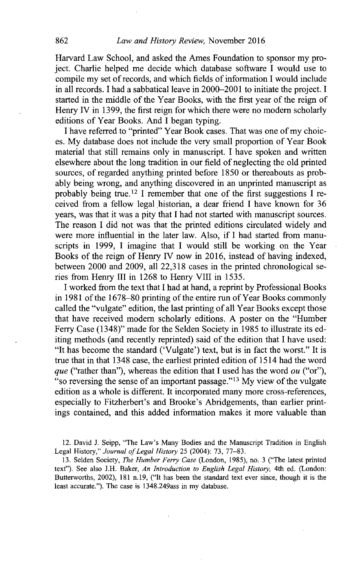Harvard Law School, and asked the Ames Foundation to sponsor my project. Charlie helped me decide which database software I would use to compile my set of records, and which fields of information **I** would include in all records. I had a sabbatical leave in 2000-2001 to initiate the project. **I** started in the middle of the Year Books, with the first year of the reign of Henry IV in **1399,** the first reign for which there were no modem scholarly editions of Year Books. And **I** began typing.

**I** have referred to "printed" Year Book cases. That was one of my choices. **My** database does not include the very small proportion of Year Book material that still remains only in manuscript. **I** have spoken and written elsewhere about the long tradition in our field of neglecting the old printed sources, of regarded anything printed before **1850** or thereabouts as probably being wrong, and anything discovered in an unprinted manuscript as probably being true.<sup>12</sup> I remember that one of the first suggestions I received from a fellow legal historian, a dear friend **I** have known for **36** years, was that it was a pity that **I** had not started with manuscript sources. The reason **I** did not was that the printed editions circulated widely and were more influential in the later law. Also, if **I** had started from manuscripts in **1999,** I imagine that **I** would still be working on the Year Books of the reign of Henry IV now in **2016,** instead of having indexed, between 2000 and **2009,** all **22,318** cases in the printed chronological series from Henry **iiI** in **1268** to Henry VIII in **1535.**

I worked from the text that **I** had at hand, a reprint **by** Professional Books in **1981** of the **1678-80** printing of the entire run of Year Books commonly called the "vulgate" edition, the last printing of all Year Books except those that have received modem scholarly editions. **A** poster on the "Humber Ferry Case (1348)" made for the Selden Society in **1985** to illustrate its editing methods (and recently reprinted) said of the edition that **I** have used: "It has become the standard ('Vulgate') text, but is in fact the worst." It is true that in that 1348 case, the earliest printed edition of 1514 had the word *que* ("rather than"), whereas the edition that **I** used has the word *ou* ("or"), "so reversing the sense of an important passage." <sup>13</sup>**My** view of the vulgate edition as a whole is different. It incorporated many more cross-references, especially to Fitzherbert's and Brooke's Abridgements, than earlier printings contained, and this added information makes it more valuable than

12. David **J. Seipp,** "The Law's Many Bodies and the Manuscript Tradition in English Legal History," *Journal of Legal History* **25** (2004): **73, 77-83.**

**13.** Selden Society, *The Humber Ferry Case* (London, **1985),** no. **3** ("The latest printed text"). See also **J.H.** Baker, *An Introduction to English Legal History,* 4th ed. (London: Butterworths, 2002), **181** n.19, ("It has been the standard text ever since, though it is the least accurate."). The case is 1348.249ass in my database.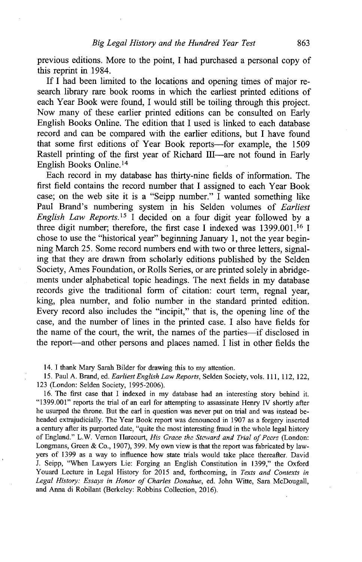previous editions. More to the point, **I** had purchased a personal copy of this reprint in 1984.

**If I** had been limited to the locations and opening times of major research library rare book rooms in which the earliest printed editions of each Year Book were found, **I** would still be toiling through this project. Now many of these earlier printed editions can be consulted on Early English Books Online. The edition that **I** used is linked to each database record and can be compared with the earlier editions, but **I** have found that some first editions of Year Book reports-for example, the **1509** Rastell printing of the first year of Richard III—are not found in Early English Books Online. <sup>14</sup>

Each record in my database has thirty-nine fields of information. The first field contains the record number that **I** assigned to each Year Book case; on the web site it is a "Seipp number." I wanted something like Paul Brand's numbering system in his Selden volumes of *Earliest English Law Reports.*<sup>15</sup> I decided on a four digit year followed by a three digit number; therefore, the first case **I** indexed was **1399.001.16 1** chose to use the "historical year" beginning January **1,** not the year beginning March **25.** Some record numbers end with two or three letters, signaling that they are drawn from scholarly editions published **by** the Selden Society, Ames Foundation, or Rolls Series, or are printed solely in abridgements under alphabetical topic headings. The next fields in my database records give the traditional form of citation: court term, regnal year, king, plea number, and folio number in the standard printed edition. Every record also includes the "incipit," that is, the opening line of the case, and the number of lines in the printed case. I also have fields for the name of the court, the writ, the names of the parties-if disclosed in the report-and other persons and places named. **I** list in other fields the

14. I thank Mary Sarah Bilder for drawing this to my attention.

*15.* Paul **A.** Brand, ed. *Earliest English Law Reports,* Selden Society, vols. **111,** 112, 122, **123** (London: Selden Society, **1995-2006).**

**16.** The first case that **I** indexed in my database had an interesting story behind it. **"1399.001"** reports the trial of an earl for attempting to assassinate Henry IV shortly after he usurped the throne. But the earl in question was never put on trial and was instead beheaded extrajudicially. The Year Book report was denounced in **1907** as a forgery inserted a century after its purported date, "quite the most interesting fraud in the whole legal history of England." L.W. Vernon Iarcourt, *His Grace the Steward and Trial of Pers* (London: Longmans, Green **&** Co., **1907), 399. My** own view is that the report was fabricated **by** lawyers of **1399** as a way to influence how state trials would take place thereafter. David **J.** Seipp, "When Lawyers Lie: Forging an English Constitution in **1399,"** the Oxford Youard Lecture in Legal History for **2015** and, forthcoming, in *Texts and Contexts in Legal History: Essays in Honor of Charles Donahue,* ed. John Witte, Sara McDougall, and Anna di Robilant (Berkeley: Robbins Collection, **2016).**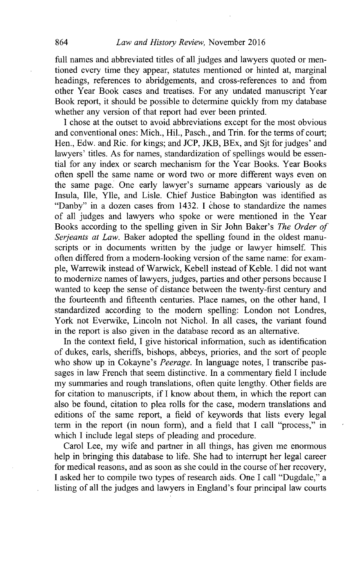full names and abbreviated titles of all judges and lawyers quoted or mentioned every time they appear, statutes mentioned or hinted at, marginal headings, references to abridgements, and cross-references to and from other Year Book cases and treatises. For any undated manuscript Year Book report, it should be possible to determine quickly from my database whether any version of that report had ever been printed.

**I** chose at the outset to avoid abbreviations except for the most obvious and conventional ones: Mich., Hil., Pasch., and Trin. for the terms of court; Hen., Edw. and Ric. for kings; and **JCP,** JKB, BEx, and **Sjt** for judges' and lawyers' titles. As for names, standardization of spellings would be essential for any index or search mechanism for the Year Books. Year Books often spell the same name or word two or more different ways even on the same page. One early lawyer's surname appears 'variously as de Insula, Ille, Ylle, and Lisle. Chief Justice Babington was identified as "Danby" in a dozen cases from 1432. I chose to standardize the names of all judges and lawyers who spoke or were mentioned in the Year Books according to the spelling given in Sir John Baker's *The Order of Serjeants at Law.* Baker adopted the spelling found in the oldest manuscripts or in documents written **by** the judge or lawyer himself. This often differed from a modem-looking version of the same name: for example, Warrewik instead of Warwick, Kebell instead of Keble. **I** did not want to modernize names of lawyers, judges, parties and other persons because **I** wanted to keep the sense of distance between the twenty-first century and the fourteenth and fifteenth centuries. Place names, on the other hand, **I** standardized according to the modem spelling: London not Londres, York not Everwike, Lincoln not Nichol. In all cases, the variant found in the report is also given in the database record as an alternative.

In the context field, **I** give historical information, such as identification of dukes, earls, sheriffs, bishops, abbeys, priories, and the sort of people who show up in Cokayne's *Peerage.* In language notes, **I** transcribe passages in law French that seem distinctive. In a commentary field **I** include my summaries and rough translations, often quite lengthy. Other fields are for citation to manuscripts, if **I** know about them, in which the report can also be found, citation to plea rolls for the case, modem translations and editions of the same report, a field of keywords that lists every legal term in the report (in noun form), and a field that **I** call "process," in which I include legal steps of pleading and procedure.

Carol Lee, my wife and partner in all things, has given me enormous help in bringing this database to life. She had to interrupt her legal career for medical reasons, and as soon as she could in the course of her recovery, **I** asked her to compile two types of research aids. One **I** call "Dugdale," a listing of all the judges and lawyers in England's four principal law courts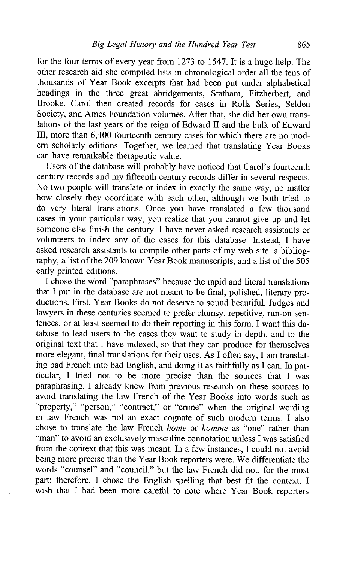for the four terms of every year from **1273** to *1547.* It is a huge help. The other research aid she compiled lists in chronological order all the tens of thousands of Year Book excerpts that had been put under alphabetical headings in the three great abridgements, Statham, Fitzherbert, and Brooke. Carol then created records for cases in Rolls Series, Selden Society, and Ames Foundation volumes. After that, she did her own translations of the last years of the reign of Edward **H** and the bulk of Edward **M,** more than 6,400 fourteenth century cases for which there are no modem scholarly editions. Together, we learned that translating Year Books can have remarkable therapeutic value.

Users of the database will probably have noticed that Carol's fourteenth century records and my fifteenth century records differ in several respects. No two people will translate or index in exactly the same way, no matter how closely they coordinate with each other, although we both tried to do very literal translations. Once you have translated a few thousand cases in your particular way, you realize that you cannot give up and let someone else finish the century. **I** have never asked research assistants or volunteers to index any of the cases for this database. Instead, **I** have asked research assistants to compile other parts of my web site: a bibliography, a list of the **209** known Year Book manuscripts, and a list of the *505* early printed editions.

**I** chose the word "paraphrases" because the rapid and literal translations that **I** put in the database are not meant to be final, polished, literary productions. First, Year Books do not deserve to sound beautiful. Judges and lawyers in these centuries seemed to prefer clumsy, repetitive, run-on sentences, or at least seemed to do their reporting in this form. **I** want this database to lead users to the cases they want to study in depth, and to the original text that I have indexed, so that they can produce for themselves more elegant, final translations for their uses. As **I** often say, **I** am translating bad French into bad English, and doing it as faithfully as **I** can. In particular, **I** tried not to be more precise than the sources that **I** was paraphrasing. I already knew from previous research on these sources to avoid translating the law French of the Year Books into words such as "property," "person," "contract," or "crime" when the original wording in law French was not an exact cognate of such modem terms. **I** also chose to translate the law French *home or homme* as "one" rather than "man" to avoid an exclusively masculine connotation unless **I** was satisfied from the context that this was meant. In a few instances, **I** could not avoid being more precise than the Year Book reporters were. We differentiate the words "counsel" and "council," but the law French did not, for the most part; therefore, **I** chose the English spelling that best fit the context. **I** wish that **I** had been more careful to note where Year Book reporters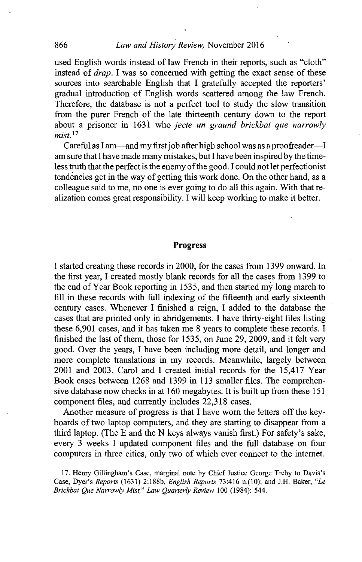used English words instead of law French in their reports, such as "cloth" instead of *drap.* I was so concerned with getting the exact sense of these sources into searchable English that **I** gratefully accepted the reporters' gradual introduction of English words scattered among the law French. Therefore, the database is not a perfect tool to study the slow transition from the purer French of the late thirteenth century down to the report about a prisoner in **1631** who *jecte un graund brickbat que narrowly mist.<sup>17</sup>*

Careful as I am-and my first job after high school was as a proofreader-I am sure that **I** have made many mistakes, but **I** have been inspired **by** the timeless truth that the perfect is the enemy of the good. **I** could not let perfectionist tendencies get in the way of getting this work done. On the other hand, as a colleague said to me, no one is ever going to do all this again. With that realization comes great responsibility. **I** will keep working to make it better.

#### Progress

ĭ.

**I** started creating these records in 2000, for the cases from **1399** onward. In the first year, **I** created mostly blank records for all the cases from **1399** to the end of Year Book reporting in *1535,* and then started my long march to **fill** in these records with full indexing of the fifteenth and early sixteenth century cases. Whenever **I** finished a reign, **I** added to the database the cases that are printed only in abridgements. **I** have thirty-eight files listing these **6,901** cases, and it has taken me **8** years to complete these records. **I** finished the last of them, those for *1535,* on June **29, 2009,** and it felt very good. Over the years, **I** have been including more detail, and longer and more complete translations in my records. Meanwhile, largely between 2001 and **2003,** Carol and **I** created initial records for the 15,417 Year Book cases between **1268** and **1399** in **113** smaller files. The comprehensive database now checks in at **160** megabytes. It is built up from these **151** component files, and currently includes **22,318** cases.

Another measure of progress is that **I** have worn the letters off the keyboards of two laptop computers, and they are starting to disappear from a third laptop. (The **E** and the **N** keys always vanish first.) For safety's sake, every **3** weeks **I** updated component files and the **full** database on four computers in three cities, only two of which ever connect to the internet.

**17.** Henry Gillingham's Case, marginal note **by** Chief Justice George Treby to Davis's Case, Dyer's *Reports* **(1631) 2:188b,** *English Reports* **73:416** n.(10); and **J.H.** Baker, *"Le Brickbat Que Narrowly Mist," Law Quarterly Review 100* (1984): 544.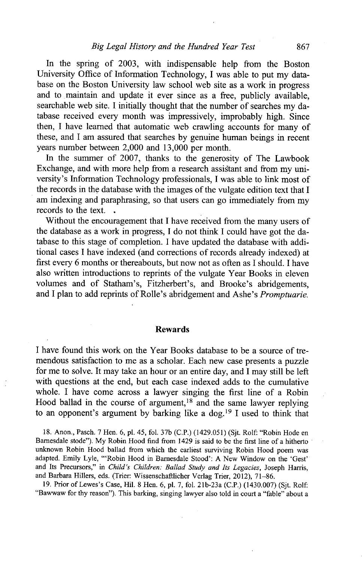In the spring of **2003,** with indispensable help from the Boston University Office of Information Technology, **I** was able to put my database on the Boston University law school web site as a work in progress and to maintain and update it ever since as a free, publicly available, searchable web site. **I** initially thought that the number of searches my database received every month was impressively, improbably high. Since then, **I** have learned that automatic web crawling accounts for many of these, and I am assured that searches **by** genuine human beings in recent years number between 2,000 and **13,000** per month.

In the summer of **2007,** thanks to the generosity of The Lawbook Exchange, and with more help from a research assigtant and from my university's Information Technology professionals, **I** was able to link most of the records in the database with the images of the vulgate edition text that **<sup>I</sup>** am indexing and paraphrasing, so that users can go immediately from my records to the text.

Without the encouragement that **I** have received from the many users of the database as a work in progress, **I** do not think **I** could have got the database to this stage of completion. **I** have updated the database with additional cases **I** have indexed (and corrections of records already indexed) at first every **6** months or thereabouts, but now not as often as **I** should. **I** have also written introductions to reprints of the vulgate Year Books in eleven volumes and of Statham's, Fitzherbert's, and Brooke's abridgements, and **I** plan to add reprints of Rolle's abridgement and Ashe's *Promptuarie.*

#### Rewards

**I** have found this work on the Year Books database to be a source of tremendous satisfaction to me as a scholar. Each new case presents a puzzle for me to solve. It may take an hour or an entire day, and **I** may still be left with questions at the end, but each case indexed adds to the cumulative whole. **I** have come across a lawyer singing the first line of a Robin Hood ballad in the course of argument, $18$  and the same lawyer replying to an opponent's argument by barking like a dog.<sup>19</sup> I used to think that

**18.** Anon., Pasch. **7** Hen. **6, pl.** 45, fol. **37b (C.P.)** (1429.051) **(Sjt.** Rolf: "Robin Hode en Bamesdale stode"). **My** Robin Hood find from 1429 is said to be the first line of a hitherto unknown Robin Hood ballad from which the earliest surviving Robin Hood poem was adapted. Emily Lyle, "'Robin Hood in Barnesdale Stood': **A** New Window on the 'Gest' and Its Precursors," in *Child's Children: Ballad Study and Its Legacies,* Joseph Harris, and Barbara Hillers, eds. (Trier Wissenschaftlicher Verlag Trier, 2012), **71-86.**

**19.** Prior of Lewes's Case, Hil. **8** Hen. **6, pl. 7,** fol. 21b-23a **(C.P.)** (1430.007) **(Sjt.** Rolf: "Bawwaw for thy reason"). This barking, singing lawyer also told in court a "fable" about a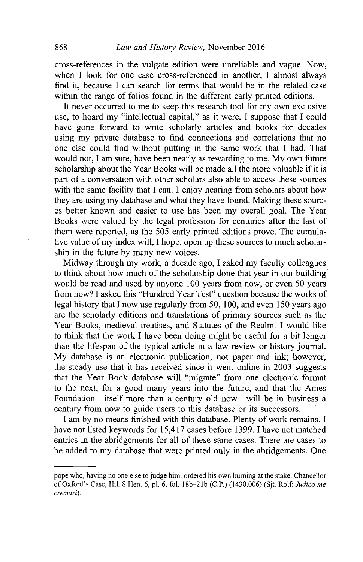cross-references in the vulgate edition were unreliable and vague. Now, when I look for one case cross-referenced in another. I almost always find it, because **I** can search for terms that would be in the related case within the range of folios found in the different early printed editions.

It never occurred to me to keep this research tool for my own exclusive use, to hoard my "intellectual capital," as it were. **I** suppose that **I** could have gone forward to write scholarly articles and books for decades using my private database to find connections and correlations that no one else could find without putting in the same work that **I** had. That would not, **I** am sure, have been nearly as rewarding to me. **My** own future scholarship about the Year Books will be made all the more valuable if it is part of a conversation with other scholars also able to access these sources with the same facility that I can. I enjoy hearing from scholars about how they are using my database and what they have found. Making these sources better known and easier to use has been my overall goal. The Year Books were valued **by** the legal profession for centuries after the last of them were reported, as the **505** early printed editions prove. The cumulative value of my index will, **I** hope, open up these sources to much scholarship in the future **by** many new voices.

Midway through my work, a decade ago, **I** asked my faculty colleagues to think about how much of the scholarship done that year in our building would be read and used **by** anyone **100** years from now, or even **50** years from now? **I** asked this "Hundred Year Test" question because the works of legal history that **I** now use regularly from **50, 100,** and even **150** years ago. are the scholarly editions and translations of primary sources such as the Year Books, medieval treatises, and Statutes of the Realm. **I** would like to think that the work I have been doing might be useful for a bit longer than the lifespan of the typical article in a law review or history journal. **My** database is an electronic publication, not paper and ink; however, the steady use that it has received since it went online in **2003** suggests that the Year Book database will "migrate" from one electronic format to the next, for a good many years into the future, and that the Ames Foundation-itself more than a century old now-will be in business a century from now to guide users to this database or its successors.

I am **by** no means finished with this database. Plenty of work remains. **<sup>I</sup>** have not listed keywords for 15,417 cases before **1399.** I have not matched entries in the abridgements for all of these same cases. There are cases to be added to my database that were printed only in the abridgements. One

pope who, having no one else to judge him, ordered his own burning at the stake. Chancellor of Oxford's Case, Hil. **8** Hen. **6, pl. 6,** fol. **18b-21b (C.P.)** (1430.006) **(Sjt.** Rolf: *Judico* me cremari).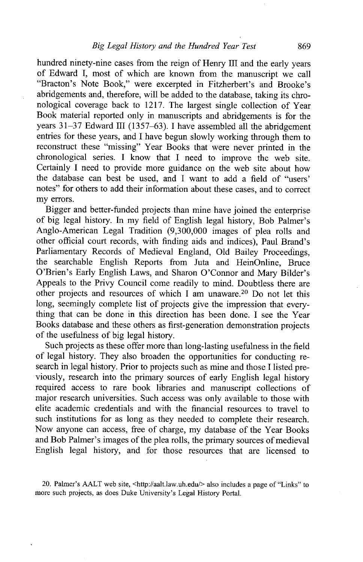hundred ninety-nine cases from the reign of Henry III and the early years of Edward **I,** most of which are known from the manuscript we call "Bracton's Note Book," were excerpted in Fitzherbert's and Brooke's abridgements and, therefore, will be added to the database, taking its chronological coverage back to **1217.** The largest single collection of Year Book material reported only in manuscripts and abridgements is for the years 31-37 Edward III (1357-63). I have assembled all the abridgement entries for these years, and **I** have begun slowly working through them to reconstruct these "missing" Year Books that were never printed in the chronological series. **I** know that **I** need to improve the web site. Certainly I need to provide more guidance on the web site about how the database can best be used, and **I** want to add a field of "users' notes" for others to add their information about these cases, and to correct my errors.

Bigger and better-funded projects than mine have joined the enterprise of big legal history. In my field of English legal history, Bob Palmer's Anglo-American Legal Tradition **(9,300,000** images of plea rolls and other official court records, with finding aids and indices), Paul Brand's Parliamentary Records of Medieval England, **Old** Bailey Proceedings, the searchable English Reports from Juta and HeinOnline, Bruce O'Brien's Early English Laws, and Sharon O'Connor and Mary Bilder's Appeals to the Privy Council come readily to mind. Doubtless there are other projects and resources of which I am unaware.<sup>20</sup> Do not let this long, seemingly complete list of projects give the impression that everything that can be done in this direction has been done. **I** see the Year Books database and these others as first-generation demonstration projects of the usefulness of big legal history.

Such projects as these offer more than long-lasting usefulness in the field of legal history. They also broaden the opportunities for conducting research in legal history. Prior to projects such as mine and those **I** listed previously, research into the primary sources of early English legal history required access to rare book libraries and manuscript collections of major research universities. Such access was only available to those with elite academic credentials and with the financial resources to travel to such institutions for as long as they needed to complete their research. Now anyone can access, free of charge, my database of the Year Books and Bob Palmer's images of the plea rolls, the primary sources of medieval English legal history, and for those resources that are licensed to

20. Palmer's **AALT** web site, <http://aalt.law.ub.edu/> also includes a page of "Links" to more such projects, as does Duke University's Legal History Portal.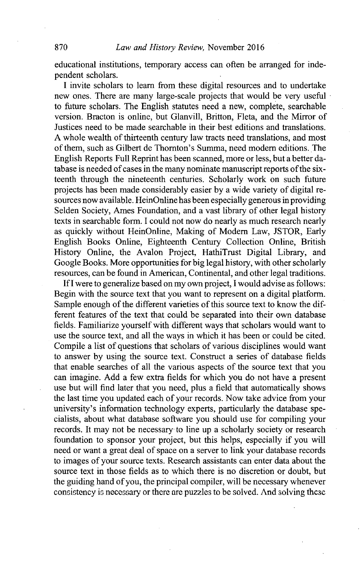educational institutions, temporary access can often be arranged for independent scholars.

**I** invite scholars to learn from these digital resources and to undertake new ones. There are many large-scale projects that would be very useful to future scholars. The English statutes need a new, complete, searchable version. Bracton is online, but Glanvill, Britton, Fleta, and the Mirror of Justices need to be made searchable in their best editions and translations. **A** whole wealth of thirteenth century law tracts need translations, and most of them, such as Gilbert de Thornton's Summa, need modem editions. The English Reports Full Reprint has been scanned, more or less, but a better database is needed of cases in the many nominate manuscript reports of the sixteenth through the nineteenth centuries. Scholarly work on such future projects has been made considerably easier **by** a wide variety of digital resources now available. HeinOnline has been especially generous in providing Selden Society, Ames Foundation, and a vast library of other legal history texts in searchable form. I could not now do nearly as much research nearly as quickly without HeinOnline, Making of Modem Law, **JSTOR,** Early English Books Online, Eighteenth Century Collection Online, British History Online, the Avalon Project, HathiTrust Digital Library, and Google Books. More opportunities for big legal history, with other scholarly resources, can be found in American, Continental, and other legal traditions.

**If I** were to generalize based on my own project, **I** would advise as follows: Begin with the source text that you want to represent on a digital platform. Sample enough of the different varieties of this source text to know the different features of the text that could be separated into their own database fields. Familiarize yourself with different ways that scholars would want to use the source text, and all the ways in which it has been or could be cited. Compile a list of questions that scholars of various disciplines would want to answer **by** using the source text. Construct a series of database fields that enable searches of all the various aspects of the source text that you can imagine. **Add** a few extra fields for which you do not have a present use but will find later that you need, plus a field that automatically shows the last time you updated each of your records. Now take advice from your university's information technology experts, particularly the database specialists, about what database software you should use for compiling your records. It may not be necessary to line up a scholarly society or research foundation to sponsor your project, but this helps, especially if you will need or want a great deal of space on a server to link your database records to images of your source texts. Research assistants can enter data about the source text in those fields as to which there is no discretion or doubt, but the guiding hand of you, the principal compiler, will be necessary whenever consistency is necessary or there are puzzles to **be** solved. And solving thcsc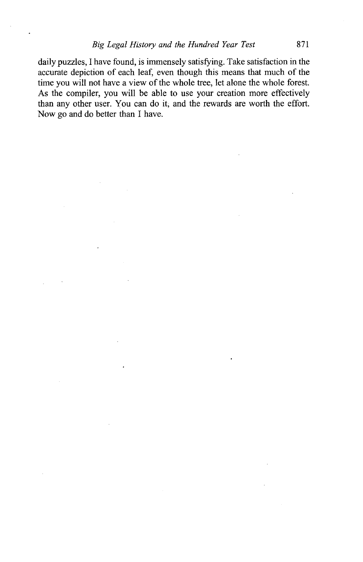daily puzzles, **I** have found, is immensely satisfying. Take satisfaction in the accurate depiction of each leaf, even though this means that much of the time you will not have a view of the whole tree, let alone the whole forest. As the compiler, you will be able to use your creation more effectively than any other user. You can do it, and the rewards are worth the effort. Now go and do better than I have.